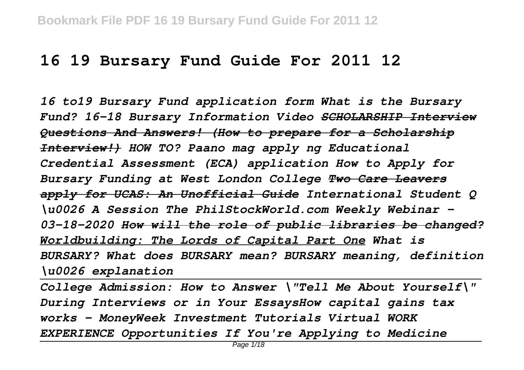## **16 19 Bursary Fund Guide For 2011 12**

*16 to19 Bursary Fund application form What is the Bursary Fund? 16-18 Bursary Information Video SCHOLARSHIP Interview Questions And Answers! (How to prepare for a Scholarship Interview!) HOW TO? Paano mag apply ng Educational Credential Assessment (ECA) application How to Apply for Bursary Funding at West London College Two Care Leavers apply for UCAS: An Unofficial Guide International Student Q \u0026 A Session The PhilStockWorld.com Weekly Webinar - 03-18-2020 How will the role of public libraries be changed? Worldbuilding: The Lords of Capital Part One What is BURSARY? What does BURSARY mean? BURSARY meaning, definition \u0026 explanation*

*College Admission: How to Answer \"Tell Me About Yourself\" During Interviews or in Your EssaysHow capital gains tax works - MoneyWeek Investment Tutorials Virtual WORK EXPERIENCE Opportunities If You're Applying to Medicine*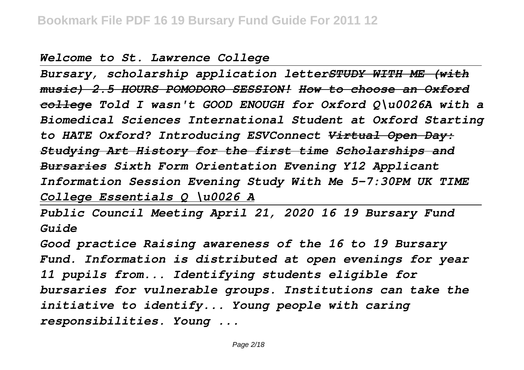## *Welcome to St. Lawrence College*

*Bursary, scholarship application letterSTUDY WITH ME (with music) 2.5 HOURS POMODORO SESSION! How to choose an Oxford college Told I wasn't GOOD ENOUGH for Oxford Q\u0026A with a Biomedical Sciences International Student at Oxford Starting to HATE Oxford? Introducing ESVConnect Virtual Open Day: Studying Art History for the first time Scholarships and Bursaries Sixth Form Orientation Evening Y12 Applicant Information Session Evening Study With Me 5-7:30PM UK TIME College Essentials Q \u0026 A*

*Public Council Meeting April 21, 2020 16 19 Bursary Fund Guide*

*Good practice Raising awareness of the 16 to 19 Bursary Fund. Information is distributed at open evenings for year 11 pupils from... Identifying students eligible for bursaries for vulnerable groups. Institutions can take the initiative to identify... Young people with caring responsibilities. Young ...*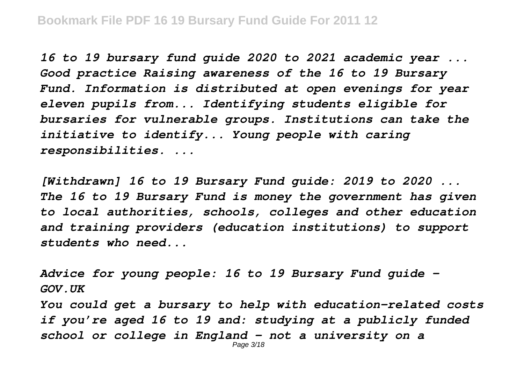*16 to 19 bursary fund guide 2020 to 2021 academic year ... Good practice Raising awareness of the 16 to 19 Bursary Fund. Information is distributed at open evenings for year eleven pupils from... Identifying students eligible for bursaries for vulnerable groups. Institutions can take the initiative to identify... Young people with caring responsibilities. ...*

*[Withdrawn] 16 to 19 Bursary Fund guide: 2019 to 2020 ... The 16 to 19 Bursary Fund is money the government has given to local authorities, schools, colleges and other education and training providers (education institutions) to support students who need...*

*Advice for young people: 16 to 19 Bursary Fund guide - GOV.UK You could get a bursary to help with education-related costs if you're aged 16 to 19 and: studying at a publicly funded school or college in England - not a university on a* Page 3/18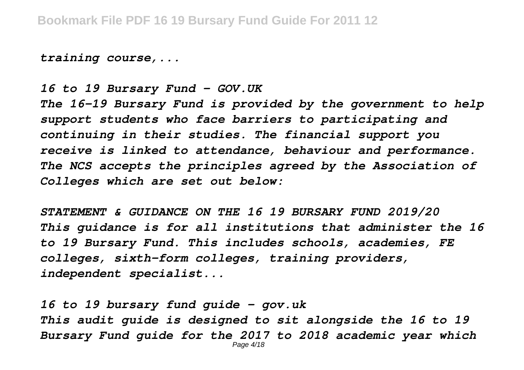*training course,...*

*16 to 19 Bursary Fund - GOV.UK*

*The 16-19 Bursary Fund is provided by the government to help support students who face barriers to participating and continuing in their studies. The financial support you receive is linked to attendance, behaviour and performance. The NCS accepts the principles agreed by the Association of Colleges which are set out below:*

*STATEMENT & GUIDANCE ON THE 16 19 BURSARY FUND 2019/20 This guidance is for all institutions that administer the 16 to 19 Bursary Fund. This includes schools, academies, FE colleges, sixth-form colleges, training providers, independent specialist...*

*16 to 19 bursary fund guide - gov.uk This audit guide is designed to sit alongside the 16 to 19 Bursary Fund guide for the 2017 to 2018 academic year which* Page 4/18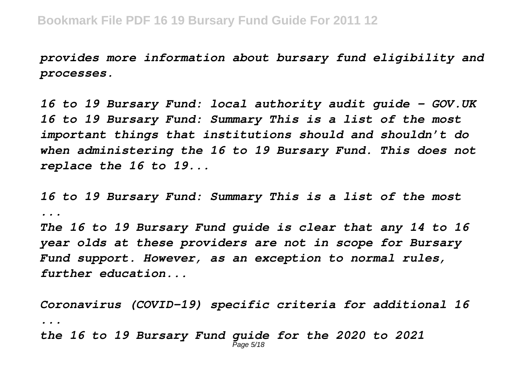*provides more information about bursary fund eligibility and processes.*

*16 to 19 Bursary Fund: local authority audit guide - GOV.UK 16 to 19 Bursary Fund: Summary This is a list of the most important things that institutions should and shouldn't do when administering the 16 to 19 Bursary Fund. This does not replace the 16 to 19...*

*16 to 19 Bursary Fund: Summary This is a list of the most ...*

*The 16 to 19 Bursary Fund guide is clear that any 14 to 16 year olds at these providers are not in scope for Bursary Fund support. However, as an exception to normal rules, further education...*

*Coronavirus (COVID-19) specific criteria for additional 16 ... the 16 to 19 Bursary Fund guide for the 2020 to 2021* Page 5/18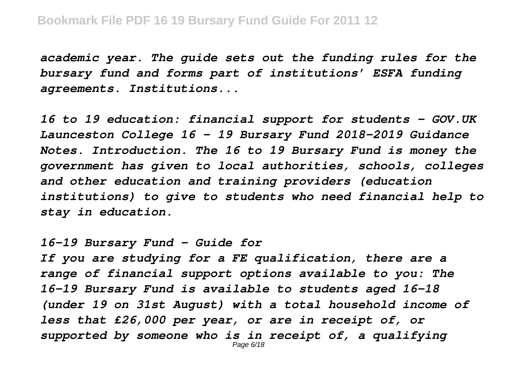*academic year. The guide sets out the funding rules for the bursary fund and forms part of institutions' ESFA funding agreements. Institutions...*

*16 to 19 education: financial support for students - GOV.UK Launceston College 16 – 19 Bursary Fund 2018-2019 Guidance Notes. Introduction. The 16 to 19 Bursary Fund is money the government has given to local authorities, schools, colleges and other education and training providers (education institutions) to give to students who need financial help to stay in education.*

*16-19 Bursary Fund – Guide for*

*If you are studying for a FE qualification, there are a range of financial support options available to you: The 16-19 Bursary Fund is available to students aged 16-18 (under 19 on 31st August) with a total household income of less that £26,000 per year, or are in receipt of, or supported by someone who is in receipt of, a qualifying* Page 6/18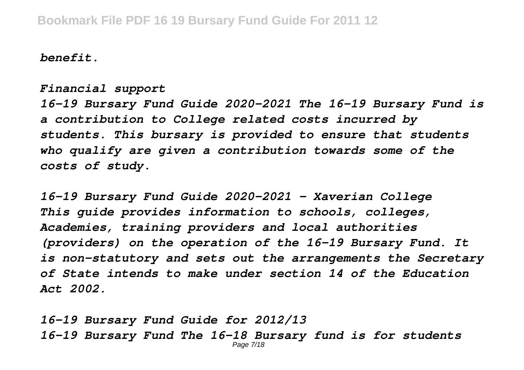*benefit.*

*Financial support*

*16-19 Bursary Fund Guide 2020-2021 The 16-19 Bursary Fund is a contribution to College related costs incurred by students. This bursary is provided to ensure that students who qualify are given a contribution towards some of the costs of study.*

*16-19 Bursary Fund Guide 2020-2021 - Xaverian College This guide provides information to schools, colleges, Academies, training providers and local authorities (providers) on the operation of the 16-19 Bursary Fund. It is non-statutory and sets out the arrangements the Secretary of State intends to make under section 14 of the Education Act 2002.*

*16-19 Bursary Fund Guide for 2012/13 16-19 Bursary Fund The 16-18 Bursary fund is for students* Page 7/18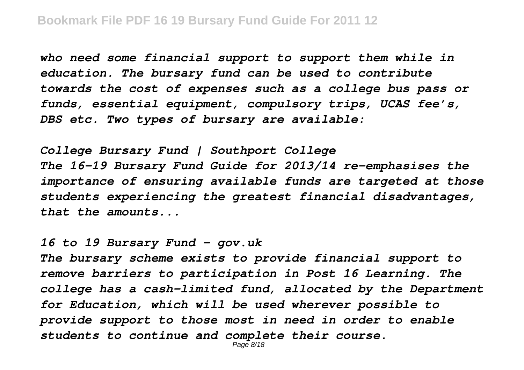*who need some financial support to support them while in education. The bursary fund can be used to contribute towards the cost of expenses such as a college bus pass or funds, essential equipment, compulsory trips, UCAS fee's, DBS etc. Two types of bursary are available:*

*College Bursary Fund | Southport College The 16-19 Bursary Fund Guide for 2013/14 re-emphasises the importance of ensuring available funds are targeted at those students experiencing the greatest financial disadvantages, that the amounts...*

*16 to 19 Bursary Fund - gov.uk*

*The bursary scheme exists to provide financial support to remove barriers to participation in Post 16 Learning. The college has a cash-limited fund, allocated by the Department for Education, which will be used wherever possible to provide support to those most in need in order to enable students to continue and complete their course.*

Page 8/18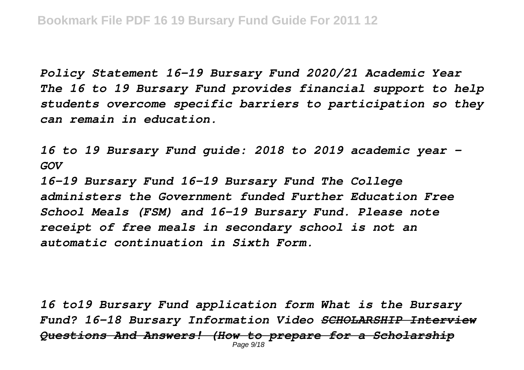*Policy Statement 16-19 Bursary Fund 2020/21 Academic Year The 16 to 19 Bursary Fund provides financial support to help students overcome specific barriers to participation so they can remain in education.*

*16 to 19 Bursary Fund guide: 2018 to 2019 academic year - GOV*

*16-19 Bursary Fund 16-19 Bursary Fund The College administers the Government funded Further Education Free School Meals (FSM) and 16-19 Bursary Fund. Please note receipt of free meals in secondary school is not an automatic continuation in Sixth Form.*

*16 to19 Bursary Fund application form What is the Bursary Fund? 16-18 Bursary Information Video SCHOLARSHIP Interview Questions And Answers! (How to prepare for a Scholarship* Page 9/18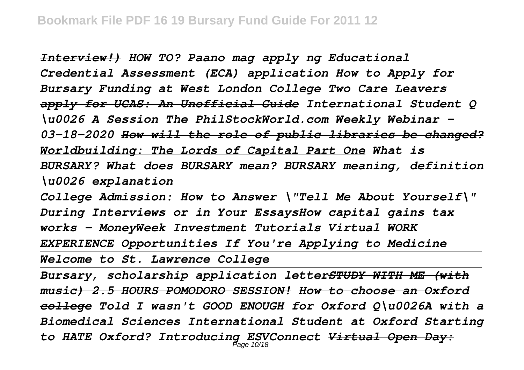*Interview!) HOW TO? Paano mag apply ng Educational Credential Assessment (ECA) application How to Apply for Bursary Funding at West London College Two Care Leavers apply for UCAS: An Unofficial Guide International Student Q \u0026 A Session The PhilStockWorld.com Weekly Webinar - 03-18-2020 How will the role of public libraries be changed? Worldbuilding: The Lords of Capital Part One What is BURSARY? What does BURSARY mean? BURSARY meaning, definition \u0026 explanation*

*College Admission: How to Answer \"Tell Me About Yourself\" During Interviews or in Your EssaysHow capital gains tax works - MoneyWeek Investment Tutorials Virtual WORK EXPERIENCE Opportunities If You're Applying to Medicine*

*Welcome to St. Lawrence College*

*Bursary, scholarship application letterSTUDY WITH ME (with music) 2.5 HOURS POMODORO SESSION! How to choose an Oxford college Told I wasn't GOOD ENOUGH for Oxford Q\u0026A with a Biomedical Sciences International Student at Oxford Starting to HATE Oxford? Introducing ESVConnect Virtual Open Day:* Page 10/18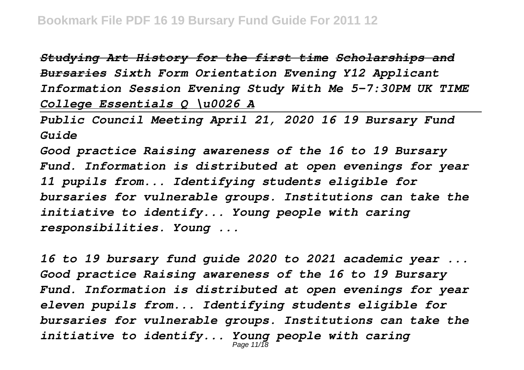*Studying Art History for the first time Scholarships and Bursaries Sixth Form Orientation Evening Y12 Applicant Information Session Evening Study With Me 5-7:30PM UK TIME College Essentials Q \u0026 A*

*Public Council Meeting April 21, 2020 16 19 Bursary Fund Guide*

*Good practice Raising awareness of the 16 to 19 Bursary Fund. Information is distributed at open evenings for year 11 pupils from... Identifying students eligible for bursaries for vulnerable groups. Institutions can take the initiative to identify... Young people with caring responsibilities. Young ...*

*16 to 19 bursary fund guide 2020 to 2021 academic year ... Good practice Raising awareness of the 16 to 19 Bursary Fund. Information is distributed at open evenings for year eleven pupils from... Identifying students eligible for bursaries for vulnerable groups. Institutions can take the initiative to identify... Young people with caring* Page 11/18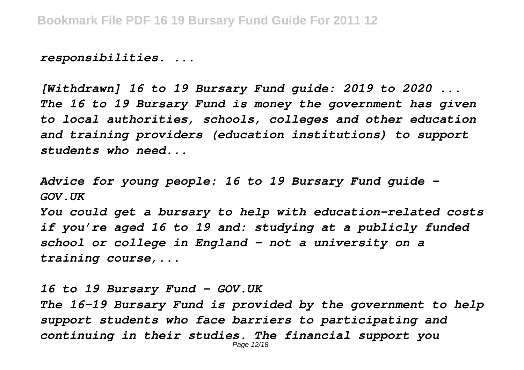*responsibilities. ...*

*[Withdrawn] 16 to 19 Bursary Fund guide: 2019 to 2020 ... The 16 to 19 Bursary Fund is money the government has given to local authorities, schools, colleges and other education and training providers (education institutions) to support students who need...*

*Advice for young people: 16 to 19 Bursary Fund guide - GOV.UK*

*You could get a bursary to help with education-related costs if you're aged 16 to 19 and: studying at a publicly funded school or college in England - not a university on a training course,...*

*16 to 19 Bursary Fund - GOV.UK The 16-19 Bursary Fund is provided by the government to help support students who face barriers to participating and continuing in their studies. The financial support you* Page 12/18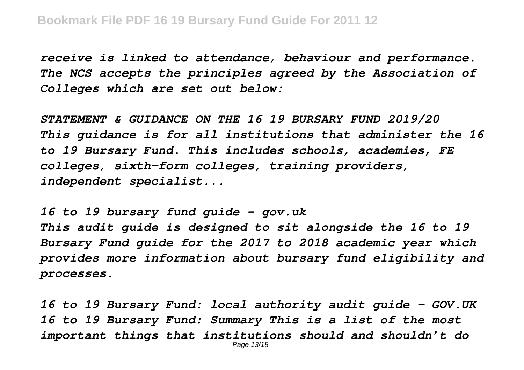*receive is linked to attendance, behaviour and performance. The NCS accepts the principles agreed by the Association of Colleges which are set out below:*

*STATEMENT & GUIDANCE ON THE 16 19 BURSARY FUND 2019/20 This guidance is for all institutions that administer the 16 to 19 Bursary Fund. This includes schools, academies, FE colleges, sixth-form colleges, training providers, independent specialist...*

*16 to 19 bursary fund guide - gov.uk This audit guide is designed to sit alongside the 16 to 19 Bursary Fund guide for the 2017 to 2018 academic year which provides more information about bursary fund eligibility and processes.*

*16 to 19 Bursary Fund: local authority audit guide - GOV.UK 16 to 19 Bursary Fund: Summary This is a list of the most important things that institutions should and shouldn't do* Page 13/18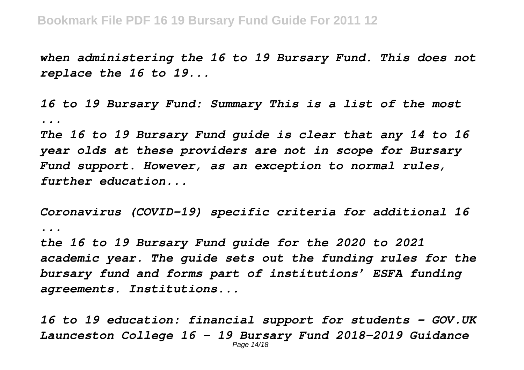*when administering the 16 to 19 Bursary Fund. This does not replace the 16 to 19...*

*16 to 19 Bursary Fund: Summary This is a list of the most ...*

*The 16 to 19 Bursary Fund guide is clear that any 14 to 16 year olds at these providers are not in scope for Bursary Fund support. However, as an exception to normal rules, further education...*

*Coronavirus (COVID-19) specific criteria for additional 16 ...*

*the 16 to 19 Bursary Fund guide for the 2020 to 2021 academic year. The guide sets out the funding rules for the bursary fund and forms part of institutions' ESFA funding agreements. Institutions...*

*16 to 19 education: financial support for students - GOV.UK Launceston College 16 – 19 Bursary Fund 2018-2019 Guidance* Page 14/18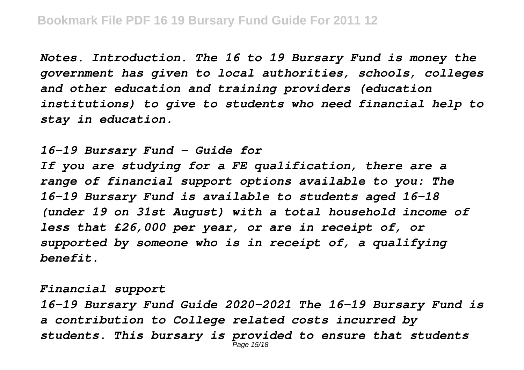*Notes. Introduction. The 16 to 19 Bursary Fund is money the government has given to local authorities, schools, colleges and other education and training providers (education institutions) to give to students who need financial help to stay in education.*

*16-19 Bursary Fund – Guide for If you are studying for a FE qualification, there are a range of financial support options available to you: The 16-19 Bursary Fund is available to students aged 16-18 (under 19 on 31st August) with a total household income of less that £26,000 per year, or are in receipt of, or supported by someone who is in receipt of, a qualifying benefit.*

*Financial support 16-19 Bursary Fund Guide 2020-2021 The 16-19 Bursary Fund is a contribution to College related costs incurred by students. This bursary is provided to ensure that students* Page 15/18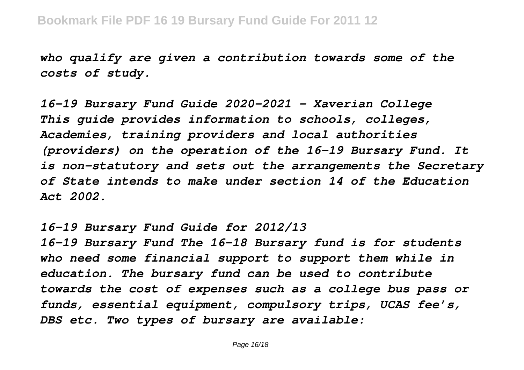*who qualify are given a contribution towards some of the costs of study.*

*16-19 Bursary Fund Guide 2020-2021 - Xaverian College This guide provides information to schools, colleges, Academies, training providers and local authorities (providers) on the operation of the 16-19 Bursary Fund. It is non-statutory and sets out the arrangements the Secretary of State intends to make under section 14 of the Education Act 2002.*

*16-19 Bursary Fund Guide for 2012/13*

*16-19 Bursary Fund The 16-18 Bursary fund is for students who need some financial support to support them while in education. The bursary fund can be used to contribute towards the cost of expenses such as a college bus pass or funds, essential equipment, compulsory trips, UCAS fee's, DBS etc. Two types of bursary are available:*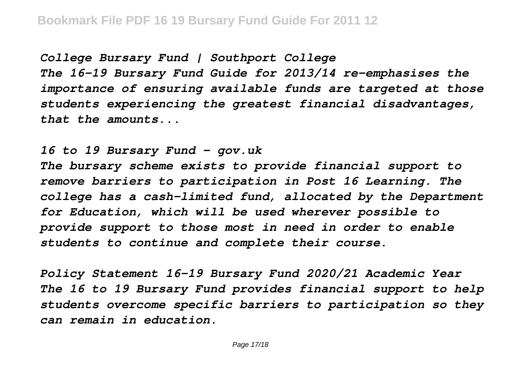*College Bursary Fund | Southport College The 16-19 Bursary Fund Guide for 2013/14 re-emphasises the importance of ensuring available funds are targeted at those students experiencing the greatest financial disadvantages, that the amounts...*

*16 to 19 Bursary Fund - gov.uk The bursary scheme exists to provide financial support to remove barriers to participation in Post 16 Learning. The college has a cash-limited fund, allocated by the Department for Education, which will be used wherever possible to provide support to those most in need in order to enable students to continue and complete their course.*

*Policy Statement 16-19 Bursary Fund 2020/21 Academic Year The 16 to 19 Bursary Fund provides financial support to help students overcome specific barriers to participation so they can remain in education.*